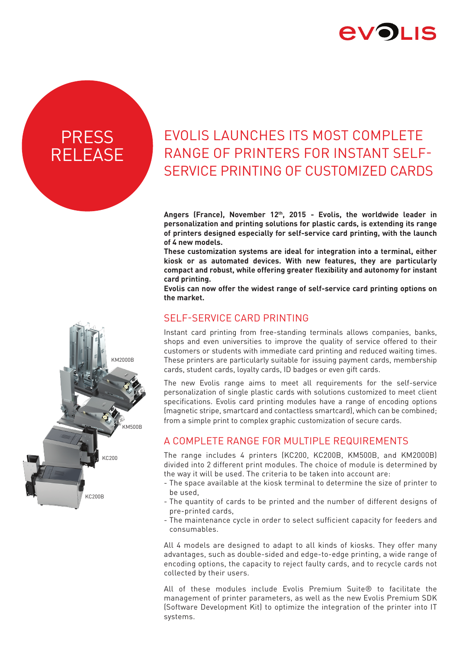

# **PRESS** RELEASE

# EVOLIS LAUNCHES ITS MOST COMPLETE RANGE OF PRINTERS FOR INSTANT SELF-SERVICE PRINTING OF CUSTOMIZED CARDS

**Angers (France), November 12th, 2015 - Evolis, the worldwide leader in personalization and printing solutions for plastic cards, is extending its range of printers designed especially for self-service card printing, with the launch of 4 new models.**

**These customization systems are ideal for integration into a terminal, either kiosk or as automated devices. With new features, they are particularly compact and robust, while offering greater flexibility and autonomy for instant card printing.** 

**Evolis can now offer the widest range of self-service card printing options on the market.**

### SELF-SERVICE CARD PRINTING

Instant card printing from free-standing terminals allows companies, banks, shops and even universities to improve the quality of service offered to their customers or students with immediate card printing and reduced waiting times. These printers are particularly suitable for issuing payment cards, membership cards, student cards, loyalty cards, ID badges or even gift cards.

The new Evolis range aims to meet all requirements for the self-service personalization of single plastic cards with solutions customized to meet client specifications. Evolis card printing modules have a range of encoding options (magnetic stripe, smartcard and contactless smartcard), which can be combined; from a simple print to complex graphic customization of secure cards.

## A COMPLETE RANGE FOR MULTIPLE REQUIREMENTS

The range includes 4 printers (KC200, KC200B, KM500B, and KM2000B) divided into 2 different print modules. The choice of module is determined by the way it will be used. The criteria to be taken into account are:

- The space available at the kiosk terminal to determine the size of printer to be used,
- The quantity of cards to be printed and the number of different designs of pre-printed cards,
- The maintenance cycle in order to select sufficient capacity for feeders and consumables.

All 4 models are designed to adapt to all kinds of kiosks. They offer many advantages, such as double-sided and edge-to-edge printing, a wide range of encoding options, the capacity to reject faulty cards, and to recycle cards not collected by their users.

All of these modules include Evolis Premium Suite® to facilitate the management of printer parameters, as well as the new Evolis Premium SDK (Software Development Kit) to optimize the integration of the printer into IT systems.